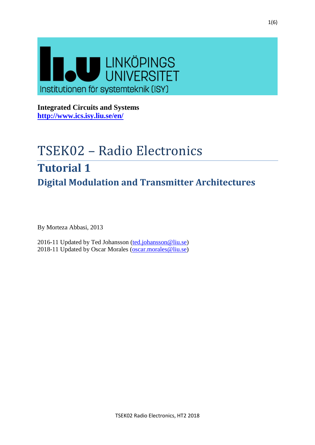

**Integrated Circuits and Systems <http://www.ics.isy.liu.se/en/>**

# TSEK02 – Radio Electronics **Tutorial 1 Digital Modulation and Transmitter Architectures**

By Morteza Abbasi, 2013

2016-11 Updated by Ted Johansson [\(ted.johansson@liu.se\)](mailto:ted.johansson@liu.se) 2018-11 Updated by Oscar Morales [\(oscar.morales@liu.se\)](mailto:oscar.morales@liu.se)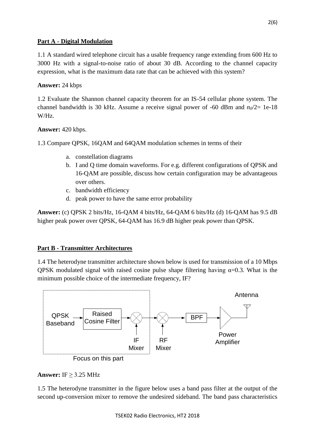## **Part A - Digital Modulation**

1.1 A standard wired telephone circuit has a usable frequency range extending from 600 Hz to 3000 Hz with a signal-to-noise ratio of about 30 dB. According to the channel capacity expression, what is the maximum data rate that can be achieved with this system?

## **Answer:** 24 kbps

1.2 Evaluate the Shannon channel capacity theorem for an IS-54 cellular phone system. The channel bandwidth is 30 kHz. Assume a receive signal power of -60 dBm and  $n_0/2$ = 1e-18 W/Hz.

## **Answer:** 420 kbps.

1.3 Compare QPSK, 16QAM and 64QAM modulation schemes in terms of their

- a. constellation diagrams
- b. I and Q time domain waveforms. For e.g. different configurations of QPSK and 16-QAM are possible, discuss how certain configuration may be advantageous over others.
- c. bandwidth efficiency
- d. peak power to have the same error probability

**Answer:** (c) QPSK 2 bits/Hz, 16-QAM 4 bits/Hz, 64-QAM 6 bits/Hz (d) 16-QAM has 9.5 dB higher peak power over QPSK, 64-QAM has 16.9 dB higher peak power than QPSK.

## **Part B - Transmitter Architectures**

1.4 The heterodyne transmitter architecture shown below is used for transmission of a 10 Mbps QPSK modulated signal with raised cosine pulse shape filtering having  $\alpha=0.3$ . What is the minimum possible choice of the intermediate frequency, IF?



## **Answer:** IF ≥ 3.25 MHz

1.5 The heterodyne transmitter in the figure below uses a band pass filter at the output of the second up-conversion mixer to remove the undesired sideband. The band pass characteristics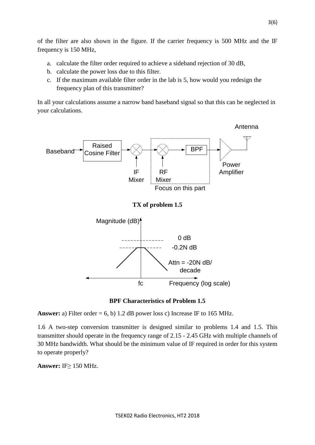of the filter are also shown in the figure. If the carrier frequency is 500 MHz and the IF frequency is 150 MHz,

- a. calculate the filter order required to achieve a sideband rejection of 30 dB,
- b. calculate the power loss due to this filter.
- c. If the maximum available filter order in the lab is 5, how would you redesign the frequency plan of this transmitter?

In all your calculations assume a narrow band baseband signal so that this can be neglected in your calculations.



### **BPF Characteristics of Problem 1.5**

**Answer:** a) Filter order  $= 6$ , b) 1.2 dB power loss c) Increase IF to 165 MHz.

1.6 A two-step conversion transmitter is designed similar to problems 1.4 and 1.5. This transmitter should operate in the frequency range of 2.15 - 2.45 GHz with multiple channels of 30 MHz bandwidth. What should be the minimum value of IF required in order for this system to operate properly?

**Answer:** IF≥ 150 MHz.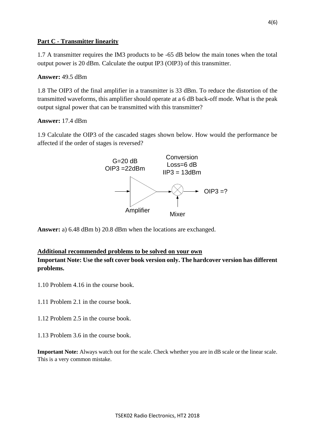## **Part C - Transmitter linearity**

1.7 A transmitter requires the IM3 products to be -65 dB below the main tones when the total output power is 20 dBm. Calculate the output IP3 (OIP3) of this transmitter.

## **Answer:** 49.5 dBm

1.8 The OIP3 of the final amplifier in a transmitter is 33 dBm. To reduce the distortion of the transmitted waveforms, this amplifier should operate at a 6 dB back-off mode. What is the peak output signal power that can be transmitted with this transmitter?

## **Answer:** 17.4 dBm

1.9 Calculate the OIP3 of the cascaded stages shown below. How would the performance be affected if the order of stages is reversed?



**Answer:** a) 6.48 dBm b) 20.8 dBm when the locations are exchanged.

## **Additional recommended problems to be solved on your own**

**Important Note: Use the soft cover book version only. The hardcover version has different problems.**

- 1.10 Problem 4.16 in the course book.
- 1.11 Problem 2.1 in the course book.
- 1.12 Problem 2.5 in the course book.
- 1.13 Problem 3.6 in the course book.

**Important Note:** Always watch out for the scale. Check whether you are in dB scale or the linear scale. This is a very common mistake.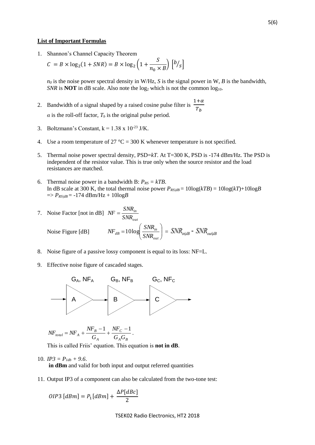#### **List of Important Formulas**

1. Shannon's Channel Capacity Theorem

$$
C = B \times \log_2(1 + SNR) = B \times \log_2\left(1 + \frac{S}{n_0 \times B}\right) \left[\frac{b}{s}\right]
$$

 $n_0$  is the noise power spectral density in W/Hz, *S* is the signal power in W, *B* is the bandwidth, *SNR* is **NOT** in dB scale. Also note the  $log_2$  which is not the common  $log_{10}$ .

- 2. Bandwidth of a signal shaped by a raised cosine pulse filter is  $\frac{1+\alpha}{\pi}$  $T_b$  $\alpha$  is the roll-off factor,  $T_b$  is the original pulse period.
- 3. Boltzmann's Constant,  $k = 1.38 \times 10^{-23}$  J/K.
- 4. Use a room temperature of 27 °C = 300 K whenever temperature is not specified.
- 5. Thermal noise power spectral density, PSD=*kT*. At T=300 K, PSD is -174 dBm/Hz. The PSD is independent of the resistor value. This is true only when the source resistor and the load resistances are matched.
- 6. Thermal noise power in a bandwidth B:  $P_{RS} = kTB$ . In dB scale at 300 K, the total thermal noise power  $P_{RS/dB} = 10\log(kTB) = 10\log(kT) + 10\log(B)$  $\Rightarrow$  *P*<sub>*RS|dB*</sub> = -174 dBm/Hz + 10log*B*

 $\parallel$  $\overline{\mathcal{L}}$ 

 $\dot{a}_{ab} = 10 \log \left( \frac{S/NR_{in}}{SNR_{out}} \right)$ 

  $\big)$ 

*out*

 $\setminus$ 

7. Noise Factor [not in dB] *out in SNR*  $NF = \frac{SNR}{SNR}$ ſ  $\langle N F_{dB} = 10 \log \left( \frac{SNR_{in}}{SNP} \right) \rangle = \langle N R_{in | dB} - SNR_{out | dB} \rangle$ 

Noise Figure [dB]

8. Noise figure of a passive lossy component is equal to its loss: NF=L.

 $=$ 

9. Effective noise figure of cascaded stages.



$$
N\!F_{total} = N\!F_A + \frac{N\!F_B - 1}{G_A} + \frac{N\!F_C - 1}{G_A G_B}.
$$

This is called Friis' equation. This equation is **not in dB**.

10.  $IP3 = P_{1db} + 9.6$ .

**in dBm** and valid for both input and output referred quantities

11. Output IP3 of a component can also be calculated from the two-tone test:

$$
OIP3\, [dBm] = P_1[dBm] + \frac{\Delta P[dBc]}{2}
$$

TSEK02 Radio Electronics, HT2 2018